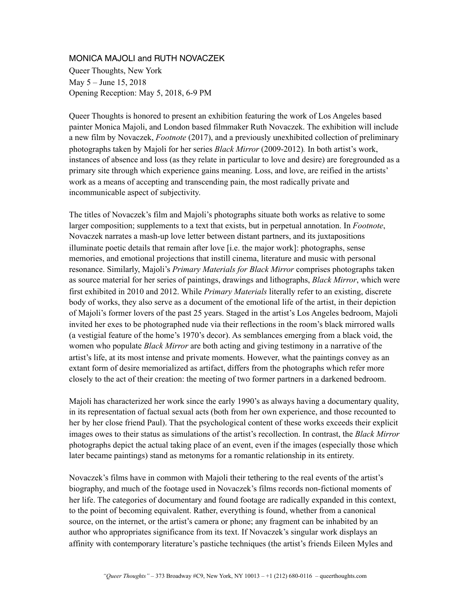## MONICA MAJOLI and RUTH NOVACZEK

Queer Thoughts, New York May 5 – June 15, 2018 Opening Reception: May 5, 2018, 6-9 PM

Queer Thoughts is honored to present an exhibition featuring the work of Los Angeles based painter Monica Majoli, and London based filmmaker Ruth Novaczek. The exhibition will include a new film by Novaczek, *Footnote* (2017), and a previously unexhibited collection of preliminary photographs taken by Majoli for her series *Black Mirror* (2009-2012)*.* In both artist's work, instances of absence and loss (as they relate in particular to love and desire) are foregrounded as a primary site through which experience gains meaning. Loss, and love, are reified in the artists' work as a means of accepting and transcending pain, the most radically private and incommunicable aspect of subjectivity.

The titles of Novaczek's film and Majoli's photographs situate both works as relative to some larger composition; supplements to a text that exists, but in perpetual annotation. In *Footnote*, Novaczek narrates a mash-up love letter between distant partners, and its juxtapositions illuminate poetic details that remain after love [i.e. the major work]: photographs, sense memories, and emotional projections that instill cinema, literature and music with personal resonance. Similarly, Majoli's *Primary Materials for Black Mirror* comprises photographs taken as source material for her series of paintings, drawings and lithographs, *Black Mirror*, which were first exhibited in 2010 and 2012. While *Primary Materials* literally refer to an existing, discrete body of works, they also serve as a document of the emotional life of the artist, in their depiction of Majoli's former lovers of the past 25 years. Staged in the artist's Los Angeles bedroom, Majoli invited her exes to be photographed nude via their reflections in the room's black mirrored walls (a vestigial feature of the home's 1970's decor). As semblances emerging from a black void, the women who populate *Black Mirror* are both acting and giving testimony in a narrative of the artist's life, at its most intense and private moments. However, what the paintings convey as an extant form of desire memorialized as artifact, differs from the photographs which refer more closely to the act of their creation: the meeting of two former partners in a darkened bedroom.

Majoli has characterized her work since the early 1990's as always having a documentary quality, in its representation of factual sexual acts (both from her own experience, and those recounted to her by her close friend Paul). That the psychological content of these works exceeds their explicit images owes to their status as simulations of the artist's recollection. In contrast, the *Black Mirror* photographs depict the actual taking place of an event, even if the images (especially those which later became paintings) stand as metonyms for a romantic relationship in its entirety.

Novaczek's films have in common with Majoli their tethering to the real events of the artist's biography, and much of the footage used in Novaczek's films records non-fictional moments of her life. The categories of documentary and found footage are radically expanded in this context, to the point of becoming equivalent. Rather, everything is found, whether from a canonical source, on the internet, or the artist's camera or phone; any fragment can be inhabited by an author who appropriates significance from its text. If Novaczek's singular work displays an affinity with contemporary literature's pastiche techniques (the artist's friends Eileen Myles and